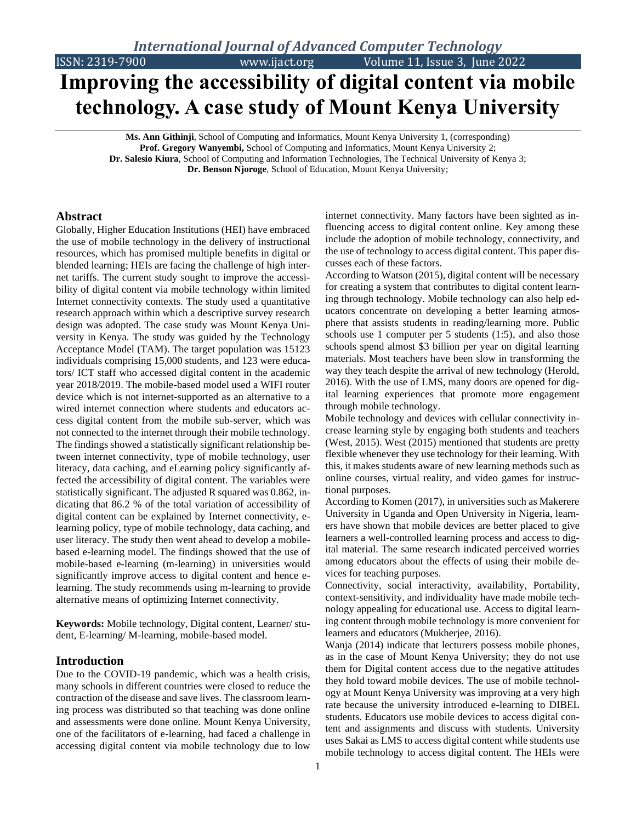ISSN: 2319-7900 www.ijact.org Volume 11, Issue 3, June 2022

# **Improving the accessibility of digital content via mobile technology. A case study of Mount Kenya University**

**Ms. Ann Githinji**, School of Computing and Informatics, Mount Kenya University 1, (corresponding) **Prof. Gregory Wanyembi,** School of Computing and Informatics, Mount Kenya University 2; **Dr. Salesio Kiura**, School of Computing and Information Technologies, The Technical University of Kenya 3; **Dr. Benson Njoroge**, School of Education, Mount Kenya University;

#### **Abstract**

Globally, Higher Education Institutions (HEI) have embraced the use of mobile technology in the delivery of instructional resources, which has promised multiple benefits in digital or blended learning; HEIs are facing the challenge of high internet tariffs. The current study sought to improve the accessibility of digital content via mobile technology within limited Internet connectivity contexts. The study used a quantitative research approach within which a descriptive survey research design was adopted. The case study was Mount Kenya University in Kenya. The study was guided by the Technology Acceptance Model (TAM). The target population was 15123 individuals comprising 15,000 students, and 123 were educators/ ICT staff who accessed digital content in the academic year 2018/2019. The mobile-based model used a WIFI router device which is not internet-supported as an alternative to a wired internet connection where students and educators access digital content from the mobile sub-server, which was not connected to the internet through their mobile technology. The findings showed a statistically significant relationship between internet connectivity, type of mobile technology, user literacy, data caching, and eLearning policy significantly affected the accessibility of digital content. The variables were statistically significant. The adjusted R squared was 0.862, indicating that 86.2 % of the total variation of accessibility of digital content can be explained by Internet connectivity, elearning policy, type of mobile technology, data caching, and user literacy. The study then went ahead to develop a mobilebased e-learning model. The findings showed that the use of mobile-based e-learning (m-learning) in universities would significantly improve access to digital content and hence elearning. The study recommends using m-learning to provide alternative means of optimizing Internet connectivity.

**Keywords:** Mobile technology, Digital content, Learner/ student, E-learning/ M-learning, mobile-based model.

#### **Introduction**

Due to the COVID-19 pandemic, which was a health crisis, many schools in different countries were closed to reduce the contraction of the disease and save lives. The classroom learning process was distributed so that teaching was done online and assessments were done online. Mount Kenya University, one of the facilitators of e-learning, had faced a challenge in accessing digital content via mobile technology due to low

internet connectivity. Many factors have been sighted as influencing access to digital content online. Key among these include the adoption of mobile technology, connectivity, and the use of technology to access digital content. This paper discusses each of these factors.

According to Watson (2015), digital content will be necessary for creating a system that contributes to digital content learning through technology. Mobile technology can also help educators concentrate on developing a better learning atmosphere that assists students in reading/learning more. Public schools use 1 computer per 5 students (1:5), and also those schools spend almost \$3 billion per year on digital learning materials. Most teachers have been slow in transforming the way they teach despite the arrival of new technology (Herold, 2016). With the use of LMS, many doors are opened for digital learning experiences that promote more engagement through mobile technology.

Mobile technology and devices with cellular connectivity increase learning style by engaging both students and teachers (West, 2015). West (2015) mentioned that students are pretty flexible whenever they use technology for their learning. With this, it makes students aware of new learning methods such as online courses, virtual reality, and video games for instructional purposes.

According to Komen (2017), in universities such as Makerere University in Uganda and Open University in Nigeria, learners have shown that mobile devices are better placed to give learners a well-controlled learning process and access to digital material. The same research indicated perceived worries among educators about the effects of using their mobile devices for teaching purposes.

Connectivity, social interactivity, availability, Portability, context-sensitivity, and individuality have made mobile technology appealing for educational use. Access to digital learning content through mobile technology is more convenient for learners and educators (Mukherjee, 2016).

Wanja (2014) indicate that lecturers possess mobile phones, as in the case of Mount Kenya University; they do not use them for Digital content access due to the negative attitudes they hold toward mobile devices. The use of mobile technology at Mount Kenya University was improving at a very high rate because the university introduced e-learning to DIBEL students. Educators use mobile devices to access digital content and assignments and discuss with students. University uses Sakai as LMS to access digital content while students use mobile technology to access digital content. The HEIs were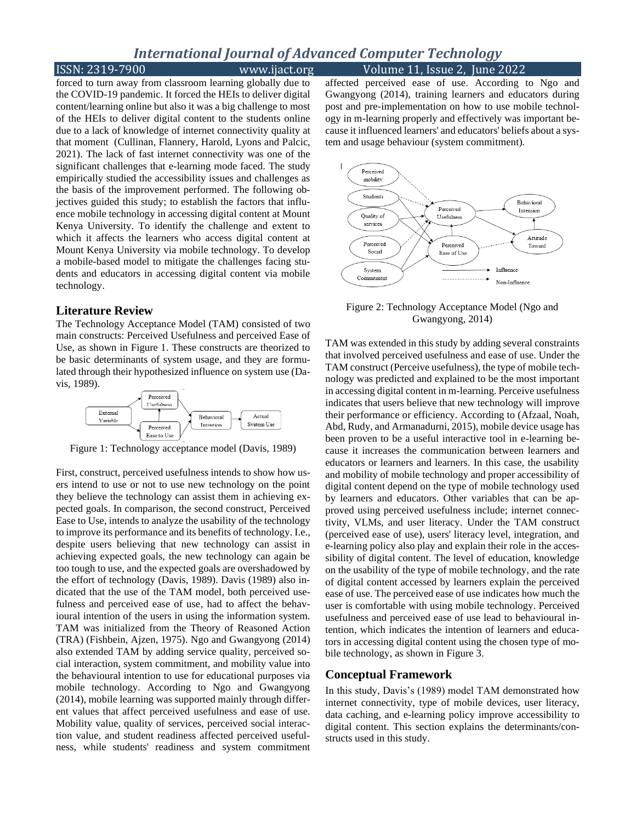### ISSN: 2319-7900 www.ijact.org Volume 11, Issue 2, June 2022

forced to turn away from classroom learning globally due to the COVID-19 pandemic. It forced the HEIs to deliver digital content/learning online but also it was a big challenge to most of the HEIs to deliver digital content to the students online due to a lack of knowledge of internet connectivity quality at that moment (Cullinan, Flannery, Harold, Lyons and Palcic, 2021). The lack of fast internet connectivity was one of the significant challenges that e-learning mode faced. The study empirically studied the accessibility issues and challenges as the basis of the improvement performed. The following objectives guided this study; to establish the factors that influence mobile technology in accessing digital content at Mount Kenya University. To identify the challenge and extent to which it affects the learners who access digital content at Mount Kenya University via mobile technology. To develop a mobile-based model to mitigate the challenges facing students and educators in accessing digital content via mobile technology.

#### **Literature Review**

The Technology Acceptance Model (TAM) consisted of two main constructs: Perceived Usefulness and perceived Ease of Use, as shown in Figure 1. These constructs are theorized to be basic determinants of system usage, and they are formulated through their hypothesized influence on system use (Davis, 1989).



Figure 1: Technology acceptance model (Davis, 1989)

First, construct, perceived usefulness intends to show how users intend to use or not to use new technology on the point they believe the technology can assist them in achieving expected goals. In comparison, the second construct, Perceived Ease to Use, intends to analyze the usability of the technology to improve its performance and its benefits of technology. I.e., despite users believing that new technology can assist in achieving expected goals, the new technology can again be too tough to use, and the expected goals are overshadowed by the effort of technology (Davis, 1989). Davis (1989) also indicated that the use of the TAM model, both perceived usefulness and perceived ease of use, had to affect the behavioural intention of the users in using the information system. TAM was initialized from the Theory of Reasoned Action (TRA) (Fishbein, Ajzen, 1975). Ngo and Gwangyong (2014) also extended TAM by adding service quality, perceived social interaction, system commitment, and mobility value into the behavioural intention to use for educational purposes via mobile technology. According to Ngo and Gwangyong (2014), mobile learning was supported mainly through different values that affect perceived usefulness and ease of use. Mobility value, quality of services, perceived social interaction value, and student readiness affected perceived usefulness, while students' readiness and system commitment

affected perceived ease of use. According to Ngo and Gwangyong (2014), training learners and educators during post and pre-implementation on how to use mobile technology in m-learning properly and effectively was important because it influenced learners' and educators' beliefs about a system and usage behaviour (system commitment).



Figure 2: Technology Acceptance Model (Ngo and Gwangyong, 2014)

TAM was extended in this study by adding several constraints that involved perceived usefulness and ease of use. Under the TAM construct (Perceive usefulness), the type of mobile technology was predicted and explained to be the most important in accessing digital content in m-learning. Perceive usefulness indicates that users believe that new technology will improve their performance or efficiency. According to (Afzaal, Noah, Abd, Rudy, and Armanadurni, 2015), mobile device usage has been proven to be a useful interactive tool in e-learning because it increases the communication between learners and educators or learners and learners. In this case, the usability and mobility of mobile technology and proper accessibility of digital content depend on the type of mobile technology used by learners and educators. Other variables that can be approved using perceived usefulness include; internet connectivity, VLMs, and user literacy. Under the TAM construct (perceived ease of use), users' literacy level, integration, and e-learning policy also play and explain their role in the accessibility of digital content. The level of education, knowledge on the usability of the type of mobile technology, and the rate of digital content accessed by learners explain the perceived ease of use. The perceived ease of use indicates how much the user is comfortable with using mobile technology. Perceived usefulness and perceived ease of use lead to behavioural intention, which indicates the intention of learners and educators in accessing digital content using the chosen type of mobile technology, as shown in Figure 3.

#### **Conceptual Framework**

In this study, Davis's (1989) model TAM demonstrated how internet connectivity, type of mobile devices, user literacy, data caching, and e-learning policy improve accessibility to digital content. This section explains the determinants/constructs used in this study.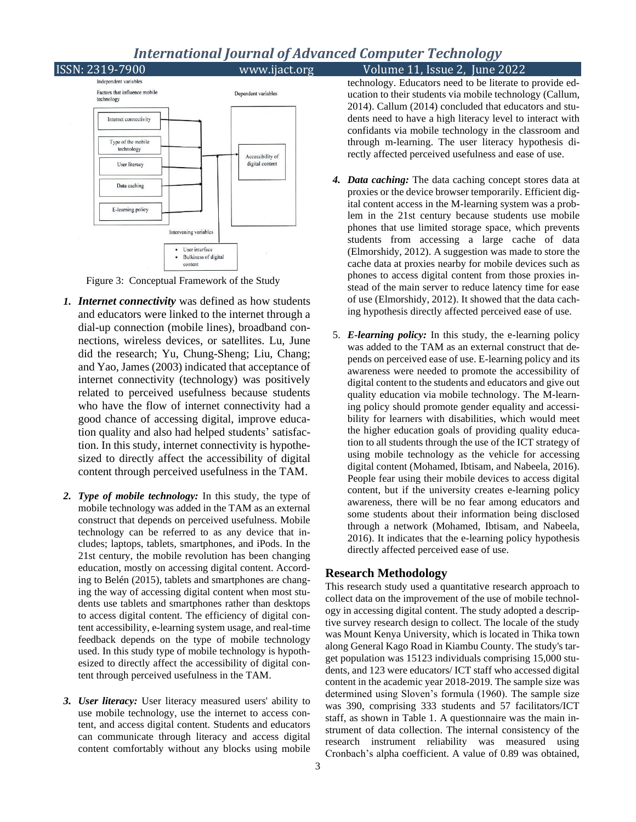ISSN: 2319-7900 www.ijact.org Volume 11, Issue 2, June 2022 Independent variables Factors that influence mobile Dependent variables technology Internet connectivity Type of the mobile technology Accessibility of digital content User literacy Data caching E-learning policy Intervening variables User interface **Bulkiness of digital** content

Figure 3: Conceptual Framework of the Study

- *1. Internet connectivity* was defined as how students and educators were linked to the internet through a dial-up connection (mobile lines), broadband connections, wireless devices, or satellites. Lu, June did the research; Yu, Chung-Sheng; Liu, Chang; and Yao, James (2003) indicated that acceptance of internet connectivity (technology) was positively related to perceived usefulness because students who have the flow of internet connectivity had a good chance of accessing digital, improve education quality and also had helped students' satisfaction. In this study, internet connectivity is hypothesized to directly affect the accessibility of digital content through perceived usefulness in the TAM.
- *2. Type of mobile technology:* In this study, the type of mobile technology was added in the TAM as an external construct that depends on perceived usefulness. Mobile technology can be referred to as any device that includes; laptops, tablets, smartphones, and iPods. In the 21st century, the mobile revolution has been changing education, mostly on accessing digital content. According to Belén (2015), tablets and smartphones are changing the way of accessing digital content when most students use tablets and smartphones rather than desktops to access digital content. The efficiency of digital content accessibility, e-learning system usage, and real-time feedback depends on the type of mobile technology used. In this study type of mobile technology is hypothesized to directly affect the accessibility of digital content through perceived usefulness in the TAM.
- *3. User literacy:* User literacy measured users' ability to use mobile technology, use the internet to access content, and access digital content. Students and educators can communicate through literacy and access digital content comfortably without any blocks using mobile

technology. Educators need to be literate to provide education to their students via mobile technology (Callum, 2014). Callum (2014) concluded that educators and students need to have a high literacy level to interact with confidants via mobile technology in the classroom and through m-learning. The user literacy hypothesis directly affected perceived usefulness and ease of use.

- *4. Data caching:* The data caching concept stores data at proxies or the device browser temporarily. Efficient digital content access in the M-learning system was a problem in the 21st century because students use mobile phones that use limited storage space, which prevents students from accessing a large cache of data (Elmorshidy, 2012). A suggestion was made to store the cache data at proxies nearby for mobile devices such as phones to access digital content from those proxies instead of the main server to reduce latency time for ease of use (Elmorshidy, 2012). It showed that the data caching hypothesis directly affected perceived ease of use.
- 5. *E-learning policy:* In this study, the e-learning policy was added to the TAM as an external construct that depends on perceived ease of use. E-learning policy and its awareness were needed to promote the accessibility of digital content to the students and educators and give out quality education via mobile technology. The M-learning policy should promote gender equality and accessibility for learners with disabilities, which would meet the higher education goals of providing quality education to all students through the use of the ICT strategy of using mobile technology as the vehicle for accessing digital content (Mohamed, Ibtisam, and Nabeela, 2016). People fear using their mobile devices to access digital content, but if the university creates e-learning policy awareness, there will be no fear among educators and some students about their information being disclosed through a network (Mohamed, Ibtisam, and Nabeela, 2016). It indicates that the e-learning policy hypothesis directly affected perceived ease of use.

#### **Research Methodology**

This research study used a quantitative research approach to collect data on the improvement of the use of mobile technology in accessing digital content. The study adopted a descriptive survey research design to collect. The locale of the study was Mount Kenya University, which is located in Thika town along General Kago Road in Kiambu County. The study's target population was 15123 individuals comprising 15,000 students, and 123 were educators/ ICT staff who accessed digital content in the academic year 2018-2019. The sample size was determined using Sloven's formula (1960). The sample size was 390, comprising 333 students and 57 facilitators/ICT staff, as shown in Table 1. A questionnaire was the main instrument of data collection. The internal consistency of the research instrument reliability was measured using Cronbach's alpha coefficient. A value of 0.89 was obtained,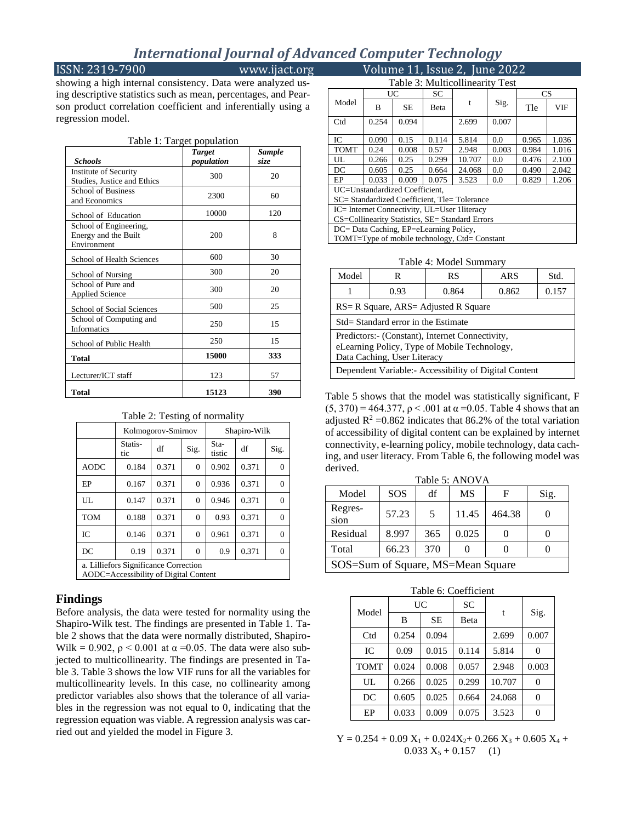#### ISSN: 2319-7900 www.ijact.org Volume 11, Issue 2, June 2022

showing a high internal consistency. Data were analyzed using descriptive statistics such as mean, percentages, and Pearson product correlation coefficient and inferentially using a regression model.

| Table 1: Target population                                    |                             |                       |  |  |
|---------------------------------------------------------------|-----------------------------|-----------------------|--|--|
| <b>Schools</b>                                                | <b>Target</b><br>population | <b>Sample</b><br>size |  |  |
| Institute of Security<br>Studies, Justice and Ethics          | 300                         | 20                    |  |  |
| <b>School of Business</b><br>and Economics                    | 2300                        | 60                    |  |  |
| School of Education                                           | 10000                       | 120                   |  |  |
| School of Engineering,<br>Energy and the Built<br>Environment | 200                         | 8                     |  |  |
| School of Health Sciences                                     | 600                         | 30                    |  |  |
| School of Nursing                                             | 300                         | 20                    |  |  |
| School of Pure and<br><b>Applied Science</b>                  | 300                         | 20                    |  |  |
| School of Social Sciences                                     | 500                         | 25                    |  |  |
| School of Computing and<br><b>Informatics</b>                 | 250                         | 15                    |  |  |
| School of Public Health                                       | 250                         | 15                    |  |  |
| Total                                                         | 15000                       | 333                   |  |  |
| Lecturer/ICT staff                                            | 123                         | 57                    |  |  |
| Total                                                         | 15123                       | 390                   |  |  |

| Table 2: Testing of normality                      |                    |       |                |                |       |                |
|----------------------------------------------------|--------------------|-------|----------------|----------------|-------|----------------|
|                                                    | Kolmogorov-Smirnov |       |                | Shapiro-Wilk   |       |                |
|                                                    | Statis-<br>tic     | df    | Sig.           | Sta-<br>tistic | df    | Sig.           |
| <b>AODC</b>                                        | 0.184              | 0.371 | 0              | 0.902          | 0.371 | $\mathbf{0}$   |
| EP                                                 | 0.167              | 0.371 | 0              | 0.936          | 0.371 | $\mathbf{0}$   |
| UL                                                 | 0.147              | 0.371 | 0              | 0.946          | 0.371 | $\overline{0}$ |
| <b>TOM</b>                                         | 0.188              | 0.371 | $\overline{0}$ | 0.93           | 0.371 | $\mathbf{0}$   |
| IC                                                 | 0.146              | 0.371 | $\overline{0}$ | 0.961          | 0.371 | $\mathbf{0}$   |
| DC                                                 | 0.19               | 0.371 | $\overline{0}$ | 0.9            | 0.371 | $\overline{0}$ |
| a. Lilliefors Significance Correction<br>$\lambda$ |                    |       |                |                |       |                |

AODC=Accessibility of Digital Content

#### **Findings**

Before analysis, the data were tested for normality using the Shapiro-Wilk test. The findings are presented in Table 1. Table 2 shows that the data were normally distributed, Shapiro-Wilk = 0.902,  $\rho$  < 0.001 at  $\alpha$  = 0.05. The data were also subjected to multicollinearity. The findings are presented in Table 3. Table 3 shows the low VIF runs for all the variables for multicollinearity levels. In this case, no collinearity among predictor variables also shows that the tolerance of all variables in the regression was not equal to 0, indicating that the regression equation was viable. A regression analysis was carried out and yielded the model in Figure 3.

| Table 3: Multicollinearity Test                 |       |           |              |        |       |           |            |
|-------------------------------------------------|-------|-----------|--------------|--------|-------|-----------|------------|
|                                                 | UC    |           | SC.          |        |       | <b>CS</b> |            |
| Model                                           | B     | <b>SE</b> | <b>B</b> eta | t      | Sig.  | Tle       | <b>VIF</b> |
| Ctd                                             | 0.254 | 0.094     |              | 2.699  | 0.007 |           |            |
| IC                                              | 0.090 | 0.15      | 0.114        | 5.814  | 0.0   | 0.965     | 1.036      |
| <b>TOMT</b>                                     | 0.24  | 0.008     | 0.57         | 2.948  | 0.003 | 0.984     | 1.016      |
| UЦ.                                             | 0.266 | 0.25      | 0.299        | 10.707 | 0.0   | 0.476     | 2.100      |
| DC                                              | 0.605 | 0.25      | 0.664        | 24.068 | 0.0   | 0.490     | 2.042      |
| EP                                              | 0.033 | 0.009     | 0.075        | 3.523  | 0.0   | 0.829     | 1.206      |
| UC=Unstandardized Coefficient.                  |       |           |              |        |       |           |            |
| SC= Standardized Coefficient, Tle= Tolerance    |       |           |              |        |       |           |            |
| IC= Internet Connectivity, UL=User 1literacy    |       |           |              |        |       |           |            |
| CS=Collinearity Statistics, SE= Standard Errors |       |           |              |        |       |           |            |
| DC= Data Caching, EP=eLearning Policy,          |       |           |              |        |       |           |            |
| TOMT=Type of mobile technology, Ctd= Constant   |       |           |              |        |       |           |            |

#### Table 4: Model Summary

| Model                                                                                                                          | R    | RS    | ARS   | Std.  |
|--------------------------------------------------------------------------------------------------------------------------------|------|-------|-------|-------|
|                                                                                                                                | 0.93 | 0.864 | 0.862 | 0.157 |
| RS= R Square, ARS= Adjusted R Square                                                                                           |      |       |       |       |
| Std= Standard error in the Estimate                                                                                            |      |       |       |       |
| Predictors:- (Constant), Internet Connectivity,<br>eLearning Policy, Type of Mobile Technology,<br>Data Caching, User Literacy |      |       |       |       |
| Dependent Variable: Accessibility of Digital Content                                                                           |      |       |       |       |

Table 5 shows that the model was statistically significant, F (5, 370) = 464.377,  $\rho$  < .001 at  $\alpha$  = 0.05. Table 4 shows that an adjusted  $R^2 = 0.862$  indicates that 86.2% of the total variation of accessibility of digital content can be explained by internet connectivity, e-learning policy, mobile technology, data caching, and user literacy. From Table 6, the following model was derived.

| Table 5: ANOVA                    |            |     |       |        |              |
|-----------------------------------|------------|-----|-------|--------|--------------|
| Model                             | <b>SOS</b> | df  | MS    | F      | Sig.         |
| Regres-<br>sion                   | 57.23      | 5   | 11.45 | 464.38 | $\mathbf{0}$ |
| Residual                          | 8.997      | 365 | 0.025 |        | $\mathbf{I}$ |
| Total                             | 66.23      | 370 |       |        |              |
| SOS=Sum of Square, MS=Mean Square |            |     |       |        |              |

| Table 6: Coefficient |
|----------------------|
|----------------------|

| Model       | UC    |           | SC    |        |                  |
|-------------|-------|-----------|-------|--------|------------------|
|             | B     | <b>SE</b> | Beta  | t      | Sig.             |
| Ctd         | 0.254 | 0.094     |       | 2.699  | 0.007            |
| IC          | 0.09  | 0.015     | 0.114 | 5.814  | 0                |
| <b>TOMT</b> | 0.024 | 0.008     | 0.057 | 2.948  | 0.003            |
| UL          | 0.266 | 0.025     | 0.299 | 10.707 | 0                |
| DC          | 0.605 | 0.025     | 0.664 | 24.068 | $\boldsymbol{0}$ |
| EP          | 0.033 | 0.009     | 0.075 | 3.523  | 0                |

 $Y = 0.254 + 0.09 X_1 + 0.024X_2 + 0.266 X_3 + 0.605 X_4 +$  $0.033 X_5 + 0.157$  (1)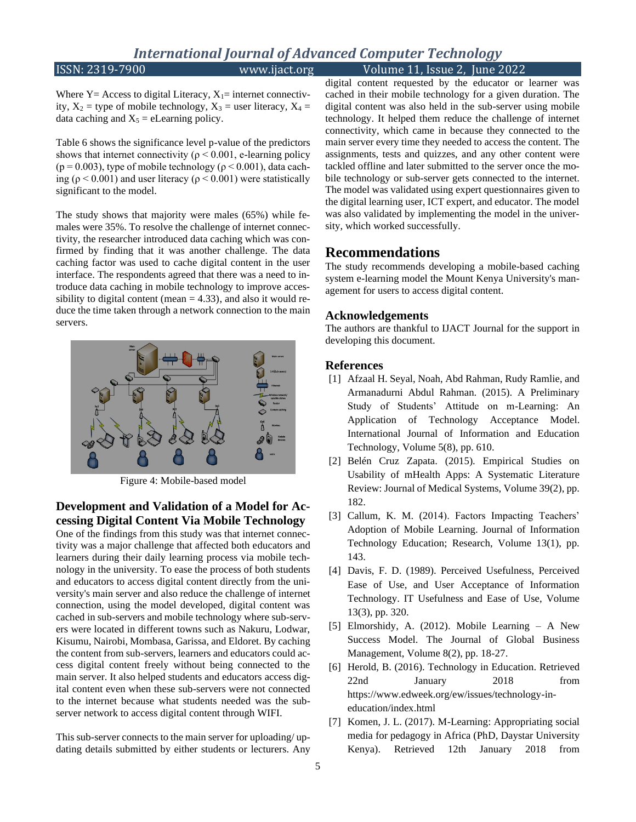## ISSN: 2319-7900 www.ijact.org Volume 11, Issue 2, June 2022

Where  $Y = Access$  to digital Literacy,  $X_1 =$  internet connectivity,  $X_2$  = type of mobile technology,  $X_3$  = user literacy,  $X_4$  = data caching and  $X_5$  = eLearning policy.

Table 6 shows the significance level p-value of the predictors shows that internet connectivity ( $\rho$  < 0.001, e-learning policy (p = 0.003), type of mobile technology ( $\rho$  < 0.001), data caching ( $\rho$  < 0.001) and user literacy ( $\rho$  < 0.001) were statistically significant to the model.

The study shows that majority were males (65%) while females were 35%. To resolve the challenge of internet connectivity, the researcher introduced data caching which was confirmed by finding that it was another challenge. The data caching factor was used to cache digital content in the user interface. The respondents agreed that there was a need to introduce data caching in mobile technology to improve accessibility to digital content (mean  $= 4.33$ ), and also it would reduce the time taken through a network connection to the main servers.



Figure 4: Mobile-based model

#### **Development and Validation of a Model for Accessing Digital Content Via Mobile Technology**

One of the findings from this study was that internet connectivity was a major challenge that affected both educators and learners during their daily learning process via mobile technology in the university. To ease the process of both students and educators to access digital content directly from the university's main server and also reduce the challenge of internet connection, using the model developed, digital content was cached in sub-servers and mobile technology where sub-servers were located in different towns such as Nakuru, Lodwar, Kisumu, Nairobi, Mombasa, Garissa, and Eldoret. By caching the content from sub-servers, learners and educators could access digital content freely without being connected to the main server. It also helped students and educators access digital content even when these sub-servers were not connected to the internet because what students needed was the subserver network to access digital content through WIFI.

This sub-server connects to the main server for uploading/ updating details submitted by either students or lecturers. Any digital content requested by the educator or learner was cached in their mobile technology for a given duration. The digital content was also held in the sub-server using mobile technology. It helped them reduce the challenge of internet connectivity, which came in because they connected to the main server every time they needed to access the content. The assignments, tests and quizzes, and any other content were tackled offline and later submitted to the server once the mobile technology or sub-server gets connected to the internet. The model was validated using expert questionnaires given to the digital learning user, ICT expert, and educator. The model was also validated by implementing the model in the university, which worked successfully.

#### **Recommendations**

The study recommends developing a mobile-based caching system e-learning model the Mount Kenya University's management for users to access digital content.

#### **Acknowledgements**

The authors are thankful to IJACT Journal for the support in developing this document.

#### **References**

- [1] Afzaal H. Seyal, Noah, Abd Rahman, Rudy Ramlie, and Armanadurni Abdul Rahman. (2015). A Preliminary Study of Students' Attitude on m-Learning: An Application of Technology Acceptance Model. International Journal of Information and Education Technology, Volume 5(8), pp. 610.
- [2] Belén Cruz Zapata. (2015). Empirical Studies on Usability of mHealth Apps: A Systematic Literature Review: Journal of Medical Systems, Volume 39(2), pp. 182.
- [3] Callum, K. M. (2014). Factors Impacting Teachers' Adoption of Mobile Learning. Journal of Information Technology Education; Research, Volume 13(1), pp. 143.
- [4] Davis, F. D. (1989). Perceived Usefulness, Perceived Ease of Use, and User Acceptance of Information Technology. IT Usefulness and Ease of Use, Volume 13(3), pp. 320.
- [5] Elmorshidy, A. (2012). Mobile Learning A New Success Model. The Journal of Global Business Management, Volume 8(2), pp. 18-27.
- [6] Herold, B. (2016). Technology in Education. Retrieved 22nd January 2018 from https://www.edweek.org/ew/issues/technology-ineducation/index.html
- [7] Komen, J. L. (2017). M-Learning: Appropriating social media for pedagogy in Africa (PhD, Daystar University Kenya). Retrieved 12th January 2018 from